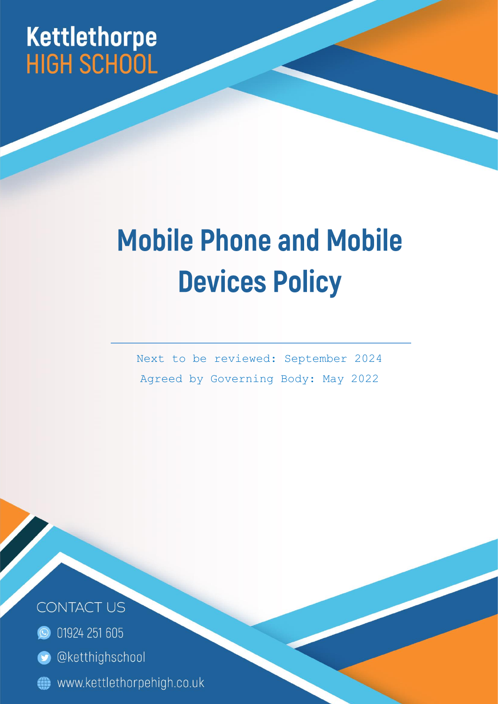## Kettle thorpe **HIGH SCHOOL**

## **Mobile Phone and Mobile Devices Policy**

Next to be reviewed: September 2024 Agreed by Governing Body: May 2022

Page | 1



- **O** 01924 251 605
- **O** @ketthighschool
- www.kettlethorpehigh.co.uk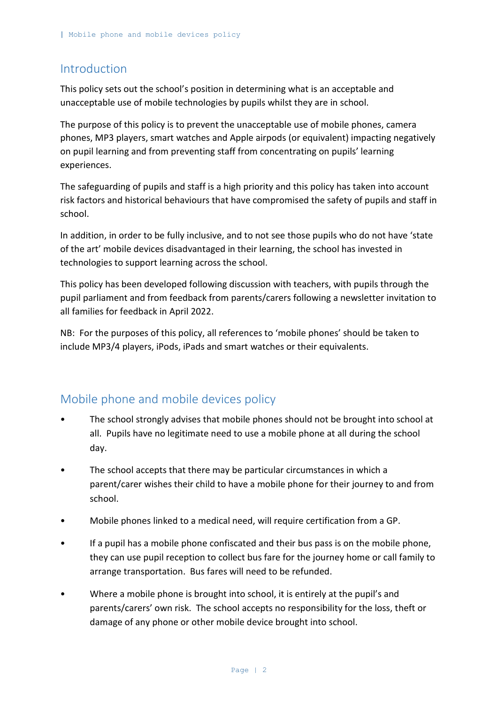## Introduction

This policy sets out the school's position in determining what is an acceptable and unacceptable use of mobile technologies by pupils whilst they are in school.

The purpose of this policy is to prevent the unacceptable use of mobile phones, camera phones, MP3 players, smart watches and Apple airpods (or equivalent) impacting negatively on pupil learning and from preventing staff from concentrating on pupils' learning experiences.

The safeguarding of pupils and staff is a high priority and this policy has taken into account risk factors and historical behaviours that have compromised the safety of pupils and staff in school.

In addition, in order to be fully inclusive, and to not see those pupils who do not have 'state of the art' mobile devices disadvantaged in their learning, the school has invested in technologies to support learning across the school.

This policy has been developed following discussion with teachers, with pupils through the pupil parliament and from feedback from parents/carers following a newsletter invitation to all families for feedback in April 2022.

NB: For the purposes of this policy, all references to 'mobile phones' should be taken to include MP3/4 players, iPods, iPads and smart watches or their equivalents.

## Mobile phone and mobile devices policy

- The school strongly advises that mobile phones should not be brought into school at all. Pupils have no legitimate need to use a mobile phone at all during the school day.
- The school accepts that there may be particular circumstances in which a parent/carer wishes their child to have a mobile phone for their journey to and from school.
- Mobile phones linked to a medical need, will require certification from a GP.
- If a pupil has a mobile phone confiscated and their bus pass is on the mobile phone, they can use pupil reception to collect bus fare for the journey home or call family to arrange transportation. Bus fares will need to be refunded.
- Where a mobile phone is brought into school, it is entirely at the pupil's and parents/carers' own risk. The school accepts no responsibility for the loss, theft or damage of any phone or other mobile device brought into school.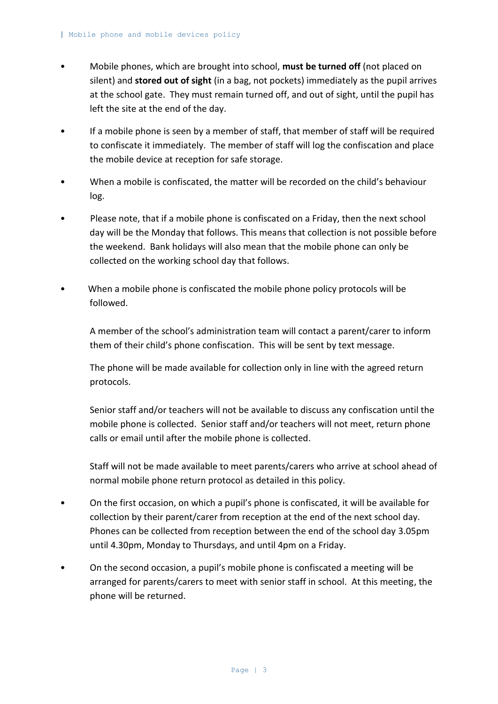- Mobile phones, which are brought into school, **must be turned off** (not placed on silent) and **stored out of sight** (in a bag, not pockets) immediately as the pupil arrives at the school gate. They must remain turned off, and out of sight, until the pupil has left the site at the end of the day.
- If a mobile phone is seen by a member of staff, that member of staff will be required to confiscate it immediately. The member of staff will log the confiscation and place the mobile device at reception for safe storage.
- When a mobile is confiscated, the matter will be recorded on the child's behaviour log.
- Please note, that if a mobile phone is confiscated on a Friday, then the next school day will be the Monday that follows. This means that collection is not possible before the weekend. Bank holidays will also mean that the mobile phone can only be collected on the working school day that follows.
- When a mobile phone is confiscated the mobile phone policy protocols will be followed.

A member of the school's administration team will contact a parent/carer to inform them of their child's phone confiscation. This will be sent by text message.

The phone will be made available for collection only in line with the agreed return protocols.

Senior staff and/or teachers will not be available to discuss any confiscation until the mobile phone is collected. Senior staff and/or teachers will not meet, return phone calls or email until after the mobile phone is collected.

Staff will not be made available to meet parents/carers who arrive at school ahead of normal mobile phone return protocol as detailed in this policy.

- On the first occasion, on which a pupil's phone is confiscated, it will be available for collection by their parent/carer from reception at the end of the next school day. Phones can be collected from reception between the end of the school day 3.05pm until 4.30pm, Monday to Thursdays, and until 4pm on a Friday.
- On the second occasion, a pupil's mobile phone is confiscated a meeting will be arranged for parents/carers to meet with senior staff in school. At this meeting, the phone will be returned.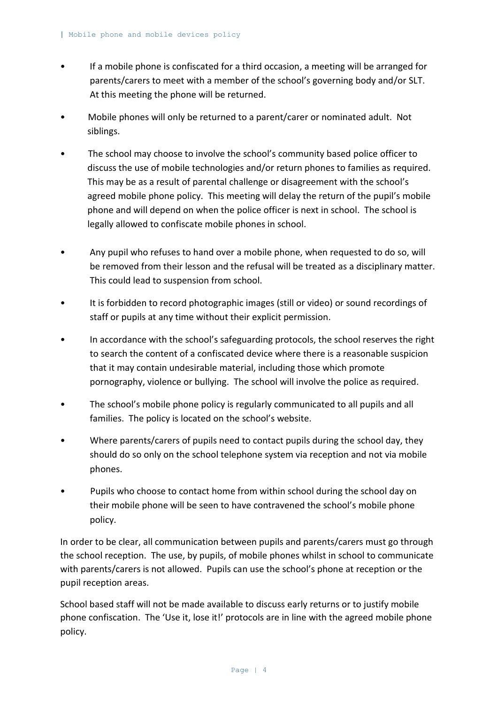- If a mobile phone is confiscated for a third occasion, a meeting will be arranged for parents/carers to meet with a member of the school's governing body and/or SLT. At this meeting the phone will be returned.
- Mobile phones will only be returned to a parent/carer or nominated adult. Not siblings.
- The school may choose to involve the school's community based police officer to discuss the use of mobile technologies and/or return phones to families as required. This may be as a result of parental challenge or disagreement with the school's agreed mobile phone policy. This meeting will delay the return of the pupil's mobile phone and will depend on when the police officer is next in school. The school is legally allowed to confiscate mobile phones in school.
- Any pupil who refuses to hand over a mobile phone, when requested to do so, will be removed from their lesson and the refusal will be treated as a disciplinary matter. This could lead to suspension from school.
- It is forbidden to record photographic images (still or video) or sound recordings of staff or pupils at any time without their explicit permission.
- In accordance with the school's safeguarding protocols, the school reserves the right to search the content of a confiscated device where there is a reasonable suspicion that it may contain undesirable material, including those which promote pornography, violence or bullying. The school will involve the police as required.
- The school's mobile phone policy is regularly communicated to all pupils and all families. The policy is located on the school's website.
- Where parents/carers of pupils need to contact pupils during the school day, they should do so only on the school telephone system via reception and not via mobile phones.
- Pupils who choose to contact home from within school during the school day on their mobile phone will be seen to have contravened the school's mobile phone policy.

In order to be clear, all communication between pupils and parents/carers must go through the school reception. The use, by pupils, of mobile phones whilst in school to communicate with parents/carers is not allowed. Pupils can use the school's phone at reception or the pupil reception areas.

School based staff will not be made available to discuss early returns or to justify mobile phone confiscation. The 'Use it, lose it!' protocols are in line with the agreed mobile phone policy.